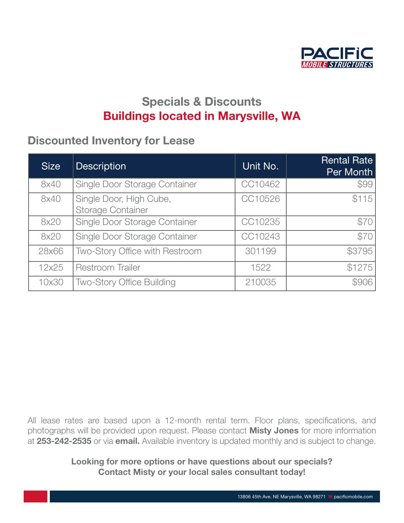

## Specials & Discounts **Buildings located in Marysville, WA**

#### Discounted Inventory for Lease with us that have been with us that have been with us through all of our local o  $t_{\rm eff}$  turbulent economic companies have faced in the recent years. The recent years,  $\alpha$

| <b>Size</b> | <b>Description</b>                                  | Unit No. | <b>Rental Rate</b><br>Per Month |
|-------------|-----------------------------------------------------|----------|---------------------------------|
| 8x40        | Single Door Storage Container                       | CC10462  | \$99                            |
| 8x40        | Single Door, High Cube,<br><b>Storage Container</b> | CC10526  | \$115                           |
| 8x20        | Single Door Storage Container                       | CC10235  | \$70                            |
| 8x20        | Single Door Storage Container                       | CC10243  | \$70                            |
| 28x66       | Two-Story Office with Restroom                      | 301199   | \$3795                          |
| 12x25       | <b>Restroom Trailer</b>                             | 1522     | \$1275                          |
| 10x30       | <b>Two-Story Office Building</b>                    | 210035   | \$906                           |

All lease rates are based upon a 12-month rental term. Floor plans, specifications, and photographs will be provided upon request. Please contact **Misty Jones** for more information photographs will be provided upon request. Please contact **Misty Jones** for more information at [253-242-2535](tel:253-242-2535) or via [email.](mailto:ilovetrailers%40pacificmobile.com?subject=Specials%20%26%20Discounts) Available inventory is updated monthly and is subject to change. Pris vill De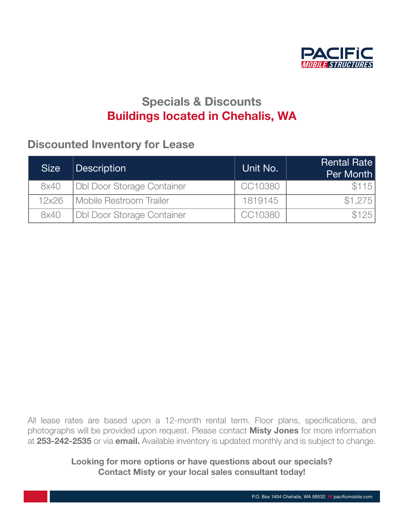

## Specials & Discounts **Buildings located in Chehalis, WA**

#### Discounted Inventory for Lease the turbulent equal conditions that our companies have faced in the recent years.

| <b>Size</b> | <b>Description</b>                | Unit No. | <b>Rental Rate</b><br>Per Month |
|-------------|-----------------------------------|----------|---------------------------------|
| 8x40        | Dbl Door Storage Container        | CC10380  | \$115                           |
| 12x26       | Mobile Restroom Trailer           | 1819145  | \$1.275                         |
| 8x40        | <b>Dbl Door Storage Container</b> | CC10380  | \$125                           |

All lease rates are based upon a 12-month rental term. Floor plans, specifications, and photographs will be provided upon request. Please contact **Misty Jones** for more information photographs will be provided upon request. Please contact **Misty Jones** for more information at [253-242-2535](tel:253-242-2535) or via [email.](mailto:ilovetrailers%40pacificmobile.com?subject=Specials%20%26%20Discounts) Available inventory is updated monthly and is subject to change. Pris vill De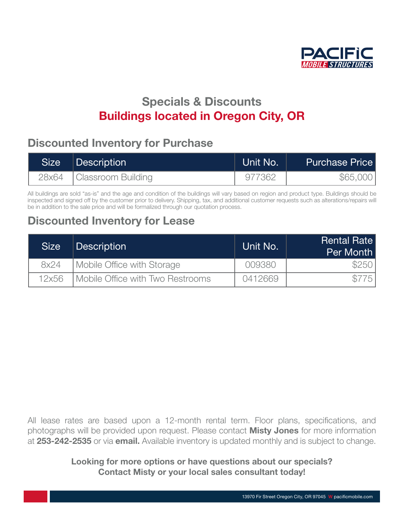

# Specials & Discounts **Buildings located in Oregon City, OR**

#### Discounted Inventory for Purchase<br> the turbulent economic conditions that our companies have faced in the recent years.

| Size | Description              | Unit No. | <b>Purchase Price</b> |
|------|--------------------------|----------|-----------------------|
|      | 28x64 Classroom Building | 977362   | \$65,000              |

All buildings are sold "as-is" and the age and condition of the buildings will vary based on region and product type. Buildings should be inspected and signed off by the customer prior to delivery. Shipping, tax, and additional customer requests such as alterations/repairs will inspected and signed on by the customer phor to delivery. Shipping, tax, and additio<br>be in addition to the sale price and will be formalized through our quotation process.

### Discounted Inventory for Lease and wish to share that success are that success and wish to share that success a

| <b>Size</b> | <b>Description</b>                        | Unit No. | <b>Rental Rate</b><br>Per Month |
|-------------|-------------------------------------------|----------|---------------------------------|
| 8x24        | Mobile Office with Storage                | 009380   | <b>\$2501</b>                   |
| 12x56       | <b>I</b> Mobile Office with Two Restrooms | 0412669  |                                 |

All lease rates are based upon a 12-month rental term. Floor plans, specifications, and photographs will be provided upon request. Please contact **Misty Jones** for more information photographs will be provided upon request. Please contact **Misty Jones** for more information at [253-242-2535](tel:253-242-2535) or via [email.](mailto:ilovetrailers%40pacificmobile.com?subject=Specials%20%26%20Discounts) Available inventory is updated monthly and is subject to change. Pris vill De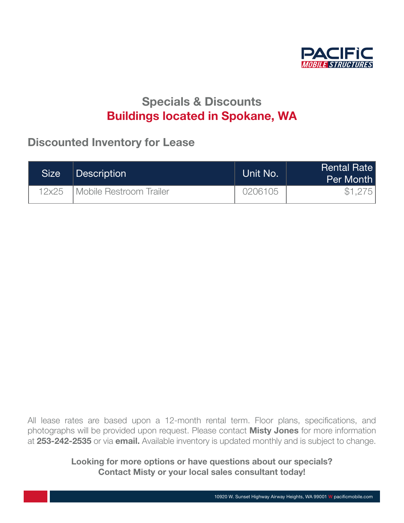

# Specials & Discounts Buildings located in Spokane, WA

#### Discounted Inventory for Lease **Exercise Servers that have been with us the use**  $t_{\text{max}}$  internetty for  $\equiv$  out companies have faced in the recent  $\bm{y}$

| <b>Size</b> | Description                      | Unit No. | <b>Rental Rate</b><br>Per Month |
|-------------|----------------------------------|----------|---------------------------------|
| 12x25       | <b>I Mobile Restroom Trailer</b> | 0206105  | \$1.275                         |

All lease rates are based upon a 12-month rental term. Floor plans, specifications, and photographs will be provided upon request. Please contact **Misty Jones** for more information photographs will be provided upon request. Please contact **Misty Jones** for more information at [253-242-2535](tel:253-242-2535) or via [email.](mailto:ilovetrailers%40pacificmobile.com?subject=Specials%20%26%20Discounts) Available inventory is updated monthly and is subject to change. Pris vill De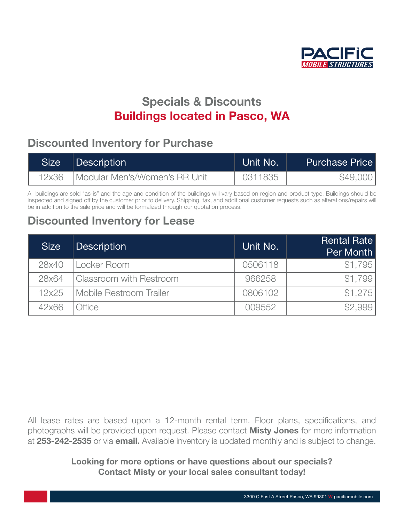

# Specials & Discounts **Buildings located in Pasco, WA**

#### Discounted Inventory for Purchase<br> the turbulent economic conditions that our companies have faced in the recent years.

| Size i | Description                   | Unit No. <sup>l</sup> | <b>Purchase Price</b> |
|--------|-------------------------------|-----------------------|-----------------------|
| 12x36  | Modular Men's/Women's RR Unit | 0311835               | \$49,000              |

All buildings are sold "as-is" and the age and condition of the buildings will vary based on region and product type. Buildings should be inspected and signed off by the customer prior to delivery. Shipping, tax, and additional customer requests such as alterations/repairs will inspected and signed on by the customer phor to delivery. Shipping, tax, and additio<br>be in addition to the sale price and will be formalized through our quotation process.

### Discounted Inventory for Lease and wish to share that success are that success and wish to share that success a

| <b>Size</b> | <b>Description</b>      | Unit No. | Rental Rate<br>Per Month |
|-------------|-------------------------|----------|--------------------------|
| 28x40       | Locker Room             | 0506118  | \$1,795                  |
| 28x64       | Classroom with Restroom | 966258   | \$1,799                  |
| 12x25       | Mobile Restroom Trailer | 0806102  | \$1.275                  |
| 42x66       | <b>Office</b>           | 009552   | \$2.999                  |

All lease rates are based upon a 12-month rental term. Floor plans, specifications, and photographs will be provided upon request. Please contact **Misty Jones** for more information photographs will be provided upon request. Please contact **Misty Jones** for more information at [253-242-2535](tel:253-242-2535) or via [email.](mailto:ilovetrailers%40pacificmobile.com?subject=Specials%20%26%20Discounts) Available inventory is updated monthly and is subject to change. Pris vill De